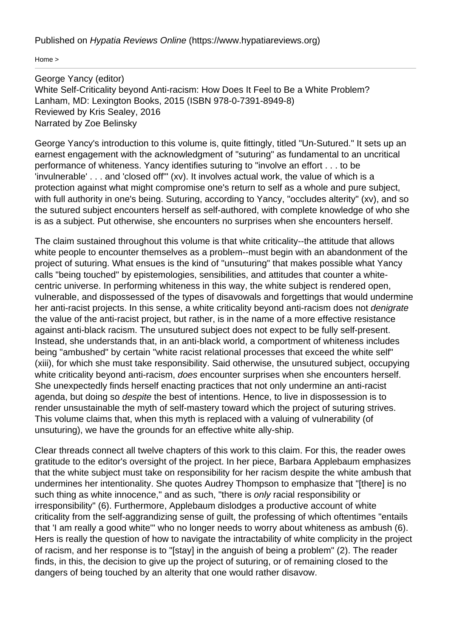Published on Hypatia Reviews Online [\(https://www.hypatiareviews.org\)](https://www.hypatiareviews.org)

[Home](https://www.hypatiareviews.org/) >

George Yancy (editor) White Self-Criticality beyond Anti-racism: How Does It Feel to Be a White Problem? Lanham, MD: Lexington Books, 2015 (ISBN 978-0-7391-8949-8) Reviewed by Kris Sealey, 2016 Narrated by Zoe Belinsky

George Yancy's introduction to this volume is, quite fittingly, titled "Un-Sutured." It sets up an earnest engagement with the acknowledgment of "suturing" as fundamental to an uncritical performance of whiteness. Yancy identifies suturing to "involve an effort . . . to be 'invulnerable' . . . and 'closed off'" (xv). It involves actual work, the value of which is a protection against what might compromise one's return to self as a whole and pure subject, with full authority in one's being. Suturing, according to Yancy, "occludes alterity" (xv), and so the sutured subject encounters herself as self-authored, with complete knowledge of who she is as a subject. Put otherwise, she encounters no surprises when she encounters herself.

The claim sustained throughout this volume is that white criticality--the attitude that allows white people to encounter themselves as a problem--must begin with an abandonment of the project of suturing. What ensues is the kind of "unsuturing" that makes possible what Yancy calls "being touched" by epistemologies, sensibilities, and attitudes that counter a whitecentric universe. In performing whiteness in this way, the white subject is rendered open, vulnerable, and dispossessed of the types of disavowals and forgettings that would undermine her anti-racist projects. In this sense, a white criticality beyond anti-racism does not *denigrate* the value of the anti-racist project, but rather, is in the name of a more effective resistance against anti-black racism. The unsutured subject does not expect to be fully self-present. Instead, she understands that, in an anti-black world, a comportment of whiteness includes being "ambushed" by certain "white racist relational processes that exceed the white self" (xiii), for which she must take responsibility. Said otherwise, the unsutured subject, occupying white criticality beyond anti-racism, *does* encounter surprises when she encounters herself. She unexpectedly finds herself enacting practices that not only undermine an anti-racist agenda, but doing so despite the best of intentions. Hence, to live in dispossession is to render unsustainable the myth of self-mastery toward which the project of suturing strives. This volume claims that, when this myth is replaced with a valuing of vulnerability (of unsuturing), we have the grounds for an effective white ally-ship.

Clear threads connect all twelve chapters of this work to this claim. For this, the reader owes gratitude to the editor's oversight of the project. In her piece, Barbara Applebaum emphasizes that the white subject must take on responsibility for her racism despite the white ambush that undermines her intentionality. She quotes Audrey Thompson to emphasize that "[there] is no such thing as white innocence," and as such, "there is *only* racial responsibility or irresponsibility" (6). Furthermore, Applebaum dislodges a productive account of white criticality from the self-aggrandizing sense of guilt, the professing of which oftentimes "entails that 'I am really a good white'" who no longer needs to worry about whiteness as ambush (6). Hers is really the question of how to navigate the intractability of white complicity in the project of racism, and her response is to "[stay] in the anguish of being a problem" (2). The reader finds, in this, the decision to give up the project of suturing, or of remaining closed to the dangers of being touched by an alterity that one would rather disavow.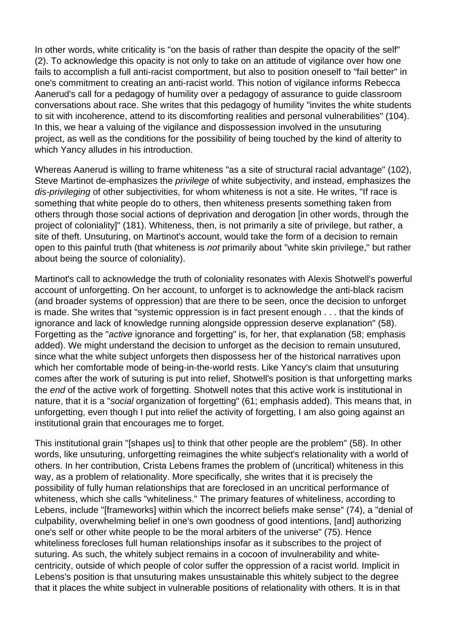In other words, white criticality is "on the basis of rather than despite the opacity of the self" (2). To acknowledge this opacity is not only to take on an attitude of vigilance over how one fails to accomplish a full anti-racist comportment, but also to position oneself to "fail better" in one's commitment to creating an anti-racist world. This notion of vigilance informs Rebecca Aanerud's call for a pedagogy of humility over a pedagogy of assurance to guide classroom conversations about race. She writes that this pedagogy of humility "invites the white students to sit with incoherence, attend to its discomforting realities and personal vulnerabilities" (104). In this, we hear a valuing of the vigilance and dispossession involved in the unsuturing project, as well as the conditions for the possibility of being touched by the kind of alterity to which Yancy alludes in his introduction.

Whereas Aanerud is willing to frame whiteness "as a site of structural racial advantage" (102), Steve Martinot de-emphasizes the *privilege* of white subjectivity, and instead, emphasizes the dis-privileging of other subjectivities, for whom whiteness is not a site. He writes, "If race is something that white people do to others, then whiteness presents something taken from others through those social actions of deprivation and derogation [in other words, through the project of coloniality]" (181). Whiteness, then, is not primarily a site of privilege, but rather, a site of theft. Unsuturing, on Martinot's account, would take the form of a decision to remain open to this painful truth (that whiteness is not primarily about "white skin privilege," but rather about being the source of coloniality).

Martinot's call to acknowledge the truth of coloniality resonates with Alexis Shotwell's powerful account of unforgetting. On her account, to unforget is to acknowledge the anti-black racism (and broader systems of oppression) that are there to be seen, once the decision to unforget is made. She writes that "systemic oppression is in fact present enough . . . that the kinds of ignorance and lack of knowledge running alongside oppression deserve explanation" (58). Forgetting as the "active ignorance and forgetting" is, for her, that explanation (58; emphasis added). We might understand the decision to unforget as the decision to remain unsutured, since what the white subject unforgets then dispossess her of the historical narratives upon which her comfortable mode of being-in-the-world rests. Like Yancy's claim that unsuturing comes after the work of suturing is put into relief, Shotwell's position is that unforgetting marks the end of the active work of forgetting. Shotwell notes that this active work is institutional in nature, that it is a "social organization of forgetting" (61; emphasis added). This means that, in unforgetting, even though I put into relief the activity of forgetting, I am also going against an institutional grain that encourages me to forget.

This institutional grain "[shapes us] to think that other people are the problem" (58). In other words, like unsuturing, unforgetting reimagines the white subject's relationality with a world of others. In her contribution, Crista Lebens frames the problem of (uncritical) whiteness in this way, as a problem of relationality. More specifically, she writes that it is precisely the possibility of fully human relationships that are foreclosed in an uncritical performance of whiteness, which she calls "whiteliness." The primary features of whiteliness, according to Lebens, include "Iframeworks] within which the incorrect beliefs make sense" (74), a "denial of culpability, overwhelming belief in one's own goodness of good intentions, [and] authorizing one's self or other white people to be the moral arbiters of the universe" (75). Hence whiteliness forecloses full human relationships insofar as it subscribes to the project of suturing. As such, the whitely subject remains in a cocoon of invulnerability and whitecentricity, outside of which people of color suffer the oppression of a racist world. Implicit in Lebens's position is that unsuturing makes unsustainable this whitely subject to the degree that it places the white subject in vulnerable positions of relationality with others. It is in that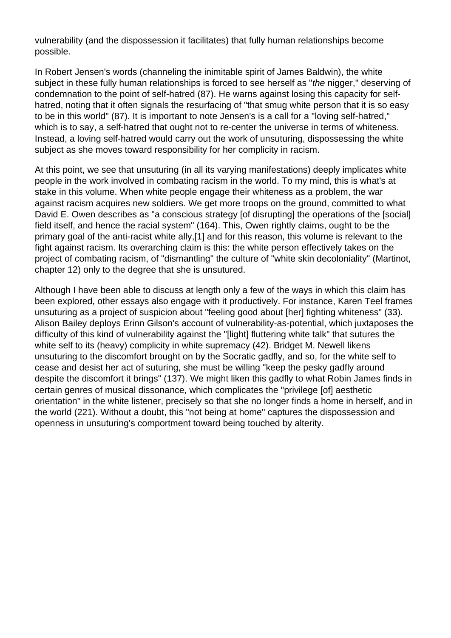vulnerability (and the dispossession it facilitates) that fully human relationships become possible.

In Robert Jensen's words (channeling the inimitable spirit of James Baldwin), the white subject in these fully human relationships is forced to see herself as "the nigger," deserving of condemnation to the point of self-hatred (87). He warns against losing this capacity for selfhatred, noting that it often signals the resurfacing of "that smug white person that it is so easy to be in this world" (87). It is important to note Jensen's is a call for a "loving self-hatred," which is to say, a self-hatred that ought not to re-center the universe in terms of whiteness. Instead, a loving self-hatred would carry out the work of unsuturing, dispossessing the white subject as she moves toward responsibility for her complicity in racism.

At this point, we see that unsuturing (in all its varying manifestations) deeply implicates white people in the work involved in combating racism in the world. To my mind, this is what's at stake in this volume. When white people engage their whiteness as a problem, the war against racism acquires new soldiers. We get more troops on the ground, committed to what David E. Owen describes as "a conscious strategy [of disrupting] the operations of the [social] field itself, and hence the racial system" (164). This, Owen rightly claims, ought to be the primary goal of the anti-racist white ally,[\[1\]](https://www.hypatiareviews.org/reviews/content/23#_edn1) and for this reason, this volume is relevant to the fight against racism. Its overarching claim is this: the white person effectively takes on the project of combating racism, of "dismantling" the culture of "white skin decoloniality" (Martinot, chapter 12) only to the degree that she is unsutured.

Although I have been able to discuss at length only a few of the ways in which this claim has been explored, other essays also engage with it productively. For instance, Karen Teel frames unsuturing as a project of suspicion about "feeling good about [her] fighting whiteness" (33). Alison Bailey deploys Erinn Gilson's account of vulnerability-as-potential, which juxtaposes the difficulty of this kind of vulnerability against the "[light] fluttering white talk" that sutures the white self to its (heavy) complicity in white supremacy (42). Bridget M. Newell likens unsuturing to the discomfort brought on by the Socratic gadfly, and so, for the white self to cease and desist her act of suturing, she must be willing "keep the pesky gadfly around despite the discomfort it brings" (137). We might liken this gadfly to what Robin James finds in certain genres of musical dissonance, which complicates the "privilege [of] aesthetic orientation" in the white listener, precisely so that she no longer finds a home in herself, and in the world (221). Without a doubt, this "not being at home" captures the dispossession and openness in unsuturing's comportment toward being touched by alterity.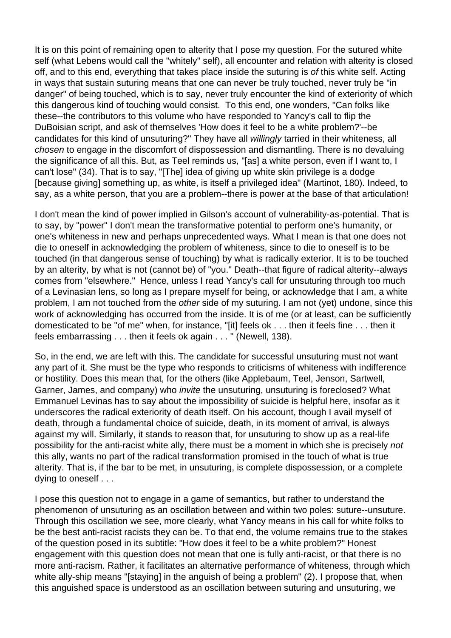It is on this point of remaining open to alterity that I pose my question. For the sutured white self (what Lebens would call the "whitely" self), all encounter and relation with alterity is closed off, and to this end, everything that takes place inside the suturing is of this white self. Acting in ways that sustain suturing means that one can never be truly touched, never truly be "in danger" of being touched, which is to say, never truly encounter the kind of exteriority of which this dangerous kind of touching would consist. To this end, one wonders, "Can folks like these--the contributors to this volume who have responded to Yancy's call to flip the DuBoisian script, and ask of themselves 'How does it feel to be a white problem?'--be candidates for this kind of unsuturing?" They have all willingly tarried in their whiteness, all chosen to engage in the discomfort of dispossession and dismantling. There is no devaluing the significance of all this. But, as Teel reminds us, "[as] a white person, even if I want to, I can't lose" (34). That is to say, "[The] idea of giving up white skin privilege is a dodge [because giving] something up, as white, is itself a privileged idea" (Martinot, 180). Indeed, to say, as a white person, that you are a problem--there is power at the base of that articulation!

I don't mean the kind of power implied in Gilson's account of vulnerability-as-potential. That is to say, by "power" I don't mean the transformative potential to perform one's humanity, or one's whiteness in new and perhaps unprecedented ways. What I mean is that one does not die to oneself in acknowledging the problem of whiteness, since to die to oneself is to be touched (in that dangerous sense of touching) by what is radically exterior. It is to be touched by an alterity, by what is not (cannot be) of "you." Death--that figure of radical alterity--always comes from "elsewhere." Hence, unless I read Yancy's call for unsuturing through too much of a Levinasian lens, so long as I prepare myself for being, or acknowledge that I am, a white problem, I am not touched from the other side of my suturing. I am not (yet) undone, since this work of acknowledging has occurred from the inside. It is of me (or at least, can be sufficiently domesticated to be "of me" when, for instance, "[it] feels ok . . . then it feels fine . . . then it feels embarrassing . . . then it feels ok again . . . " (Newell, 138).

So, in the end, we are left with this. The candidate for successful unsuturing must not want any part of it. She must be the type who responds to criticisms of whiteness with indifference or hostility. Does this mean that, for the others (like Applebaum, Teel, Jenson, Sartwell, Garner, James, and company) who invite the unsuturing, unsuturing is foreclosed? What Emmanuel Levinas has to say about the impossibility of suicide is helpful here, insofar as it underscores the radical exteriority of death itself. On his account, though I avail myself of death, through a fundamental choice of suicide, death, in its moment of arrival, is always against my will. Similarly, it stands to reason that, for unsuturing to show up as a real-life possibility for the anti-racist white ally, there must be a moment in which she is precisely not this ally, wants no part of the radical transformation promised in the touch of what is true alterity. That is, if the bar to be met, in unsuturing, is complete dispossession, or a complete dying to oneself . . .

I pose this question not to engage in a game of semantics, but rather to understand the phenomenon of unsuturing as an oscillation between and within two poles: suture--unsuture. Through this oscillation we see, more clearly, what Yancy means in his call for white folks to be the best anti-racist racists they can be. To that end, the volume remains true to the stakes of the question posed in its subtitle: "How does it feel to be a white problem?" Honest engagement with this question does not mean that one is fully anti-racist, or that there is no more anti-racism. Rather, it facilitates an alternative performance of whiteness, through which white ally-ship means "[staying] in the anguish of being a problem" (2). I propose that, when this anguished space is understood as an oscillation between suturing and unsuturing, we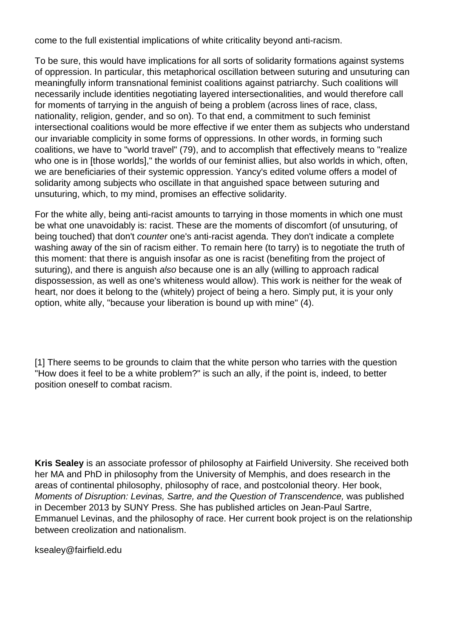come to the full existential implications of white criticality beyond anti-racism.

To be sure, this would have implications for all sorts of solidarity formations against systems of oppression. In particular, this metaphorical oscillation between suturing and unsuturing can meaningfully inform transnational feminist coalitions against patriarchy. Such coalitions will necessarily include identities negotiating layered intersectionalities, and would therefore call for moments of tarrying in the anguish of being a problem (across lines of race, class, nationality, religion, gender, and so on). To that end, a commitment to such feminist intersectional coalitions would be more effective if we enter them as subjects who understand our invariable complicity in some forms of oppressions. In other words, in forming such coalitions, we have to "world travel" (79), and to accomplish that effectively means to "realize who one is in [those worlds]," the worlds of our feminist allies, but also worlds in which, often, we are beneficiaries of their systemic oppression. Yancy's edited volume offers a model of solidarity among subjects who oscillate in that anguished space between suturing and unsuturing, which, to my mind, promises an effective solidarity.

For the white ally, being anti-racist amounts to tarrying in those moments in which one must be what one unavoidably is: racist. These are the moments of discomfort (of unsuturing, of being touched) that don't counter one's anti-racist agenda. They don't indicate a complete washing away of the sin of racism either. To remain here (to tarry) is to negotiate the truth of this moment: that there is anguish insofar as one is racist (benefiting from the project of suturing), and there is anguish also because one is an ally (willing to approach radical dispossession, as well as one's whiteness would allow). This work is neither for the weak of heart, nor does it belong to the (whitely) project of being a hero. Simply put, it is your only option, white ally, "because your liberation is bound up with mine" (4).

[\[1\]](https://www.hypatiareviews.org/reviews/content/23#_ednref1) There seems to be grounds to claim that the white person who tarries with the question "How does it feel to be a white problem?" is such an ally, if the point is, indeed, to better position oneself to combat racism.

**Kris Sealey** is an associate professor of philosophy at Fairfield University. She received both her MA and PhD in philosophy from the University of Memphis, and does research in the areas of continental philosophy, philosophy of race, and postcolonial theory. Her book, Moments of Disruption: Levinas, Sartre, and the Question of Transcendence, was published in December 2013 by SUNY Press. She has published articles on Jean-Paul Sartre, Emmanuel Levinas, and the philosophy of race. Her current book project is on the relationship between creolization and nationalism.

[ksealey@fairfield.edu](mailto:ksealey@fairfield.edu)